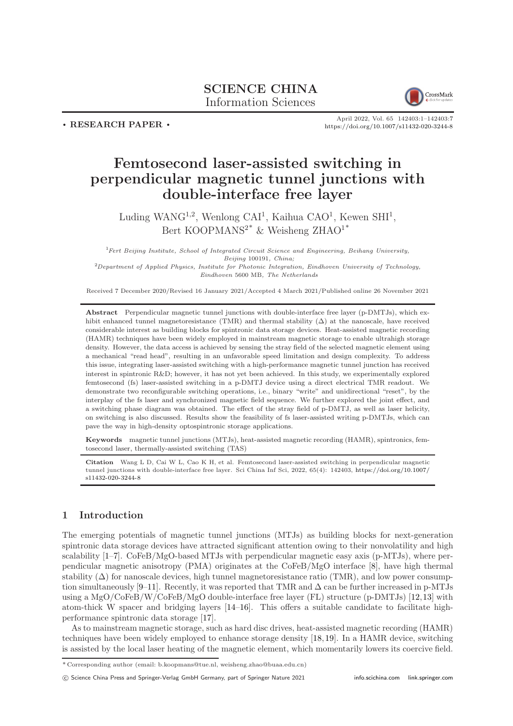## SCIENCE CHINA Information Sciences



. RESEARCH PAPER .

April 2022, Vol. 65 142403:1–142403[:7](#page-6-0) <https://doi.org/10.1007/s11432-020-3244-8>

# Femtosecond laser-assisted switching in perpendicular magnetic tunnel junctions with double-interface free layer

Luding WANG<sup>1,2</sup>, Wenlong CAI<sup>1</sup>, Kaihua CAO<sup>1</sup>, Kewen SHI<sup>1</sup>, Bert KOOPMANS<sup>2\*</sup> & Weisheng ZHAO<sup>1\*</sup>

<sup>1</sup>Fert Beijing Institute, School of Integrated Circuit Science and Engineering, Beihang University, Beijing 100191, China;

 ${}^{2}$ Department of Applied Physics, Institute for Photonic Integration, Eindhoven University of Technology, Eindhoven 5600 MB, The Netherlands

Received 7 December 2020/Revised 16 January 2021/Accepted 4 March 2021/Published online 26 November 2021

Abstract Perpendicular magnetic tunnel junctions with double-interface free layer (p-DMTJs), which exhibit enhanced tunnel magnetoresistance (TMR) and thermal stability  $(\Delta)$  at the nanoscale, have received considerable interest as building blocks for spintronic data storage devices. Heat-assisted magnetic recording (HAMR) techniques have been widely employed in mainstream magnetic storage to enable ultrahigh storage density. However, the data access is achieved by sensing the stray field of the selected magnetic element using a mechanical "read head", resulting in an unfavorable speed limitation and design complexity. To address this issue, integrating laser-assisted switching with a high-performance magnetic tunnel junction has received interest in spintronic R&D; however, it has not yet been achieved. In this study, we experimentally explored femtosecond (fs) laser-assisted switching in a p-DMTJ device using a direct electrical TMR readout. We demonstrate two reconfigurable switching operations, i.e., binary "write" and unidirectional "reset", by the interplay of the fs laser and synchronized magnetic field sequence. We further explored the joint effect, and a switching phase diagram was obtained. The effect of the stray field of p-DMTJ, as well as laser helicity, on switching is also discussed. Results show the feasibility of fs laser-assisted writing p-DMTJs, which can pave the way in high-density optospintronic storage applications.

Keywords magnetic tunnel junctions (MTJs), heat-assisted magnetic recording (HAMR), spintronics, femtosecond laser, thermally-assisted switching (TAS)

Citation Wang L D, Cai W L, Cao K H, et al. Femtosecond laser-assisted switching in perpendicular magnetic tunnel junctions with double-interface free layer. Sci China Inf Sci, 2022, 65(4): 142403, [https://doi.org/10.1007/](https://doi.org/10.1007/s11432-020-3244-8) [s11432-020-3244-8](https://doi.org/10.1007/s11432-020-3244-8)

### 1 Introduction

The emerging potentials of magnetic tunnel junctions (MTJs) as building blocks for next-generation spintronic data storage devices have attracted significant attention owing to their nonvolatility and high scalability [\[1–](#page-5-0)[7\]](#page-5-1). CoFeB/MgO-based MTJs with perpendicular magnetic easy axis (p-MTJs), where perpendicular magnetic anisotropy (PMA) originates at the CoFeB/MgO interface [\[8\]](#page-5-2), have high thermal stability  $(\Delta)$  for nanoscale devices, high tunnel magnetoresistance ratio (TMR), and low power consump-tion simultaneously [\[9](#page-5-3)[–11\]](#page-5-4). Recently, it was reported that TMR and  $\Delta$  can be further increased in p-MTJs using a MgO/CoFeB/W/CoFeB/MgO double-interface free layer (FL) structure (p-DMTJs) [\[12,](#page-5-5)[13\]](#page-6-1) with atom-thick W spacer and bridging layers [\[14](#page-6-2)[–16\]](#page-6-3). This offers a suitable candidate to facilitate highperformance spintronic data storage [\[17\]](#page-6-4).

As to mainstream magnetic storage, such as hard disc drives, heat-assisted magnetic recording (HAMR) techniques have been widely employed to enhance storage density [\[18,](#page-6-5)[19\]](#page-6-6). In a HAMR device, switching is assisted by the local laser heating of the magnetic element, which momentarily lowers its coercive field.

<sup>\*</sup> Corresponding author (email: b.koopmans@tue.nl, weisheng.zhao@buaa.edu.cn)

c Science China Press and Springer-Verlag GmbH Germany, part of Springer Nature 2021 <info.scichina.com><link.springer.com>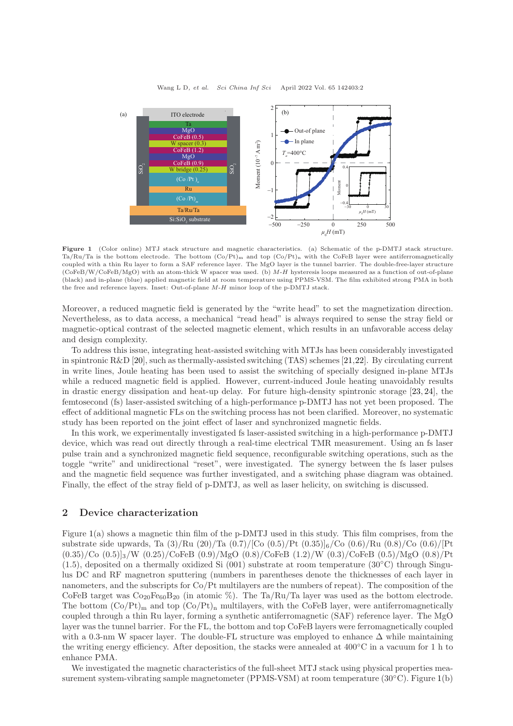<span id="page-1-0"></span>

Figure 1 (Color online) MTJ stack structure and magnetic characteristics. (a) Schematic of the p-DMTJ stack structure.  $Ta/Ru/Ta$  is the bottom electrode. The bottom  $(Co/Pt)_{m}$  and top  $(Co/Pt)_{n}$  with the CoFeB layer were antiferromagnetically coupled with a thin Ru layer to form a SAF reference layer. The MgO layer is the tunnel barrier. The double-free-layer structure (CoFeB/W/CoFeB/MgO) with an atom-thick W spacer was used. (b) M-H hysteresis loops measured as a function of out-of-plane (black) and in-plane (blue) applied magnetic field at room temperature using PPMS-VSM. The film exhibited strong PMA in both the free and reference layers. Inset: Out-of-plane M-H minor loop of the p-DMTJ stack.

Moreover, a reduced magnetic field is generated by the "write head" to set the magnetization direction. Nevertheless, as to data access, a mechanical "read head" is always required to sense the stray field or magnetic-optical contrast of the selected magnetic element, which results in an unfavorable access delay and design complexity.

To address this issue, integrating heat-assisted switching with MTJs has been considerably investigated in spintronic R&D [\[20\]](#page-6-7), such as thermally-assisted switching (TAS) schemes [\[21,](#page-6-8)[22\]](#page-6-9). By circulating current in write lines, Joule heating has been used to assist the switching of specially designed in-plane MTJs while a reduced magnetic field is applied. However, current-induced Joule heating unavoidably results in drastic energy dissipation and heat-up delay. For future high-density spintronic storage [\[23,](#page-6-10) [24\]](#page-6-11), the femtosecond (fs) laser-assisted switching of a high-performance p-DMTJ has not yet been proposed. The effect of additional magnetic FLs on the switching process has not been clarified. Moreover, no systematic study has been reported on the joint effect of laser and synchronized magnetic fields.

In this work, we experimentally investigated fs laser-assisted switching in a high-performance p-DMTJ device, which was read out directly through a real-time electrical TMR measurement. Using an fs laser pulse train and a synchronized magnetic field sequence, reconfigurable switching operations, such as the toggle "write" and unidirectional "reset", were investigated. The synergy between the fs laser pulses and the magnetic field sequence was further investigated, and a switching phase diagram was obtained. Finally, the effect of the stray field of p-DMTJ, as well as laser helicity, on switching is discussed.

#### 2 Device characterization

Figure [1\(](#page-1-0)a) shows a magnetic thin film of the p-DMTJ used in this study. This film comprises, from the substrate side upwards, Ta  $(3)/Ru (20)/Ta (0.7)/[Co (0.5)/Pt (0.35)]_6/Co (0.6)/Ru (0.8)/Co (0.6)/[Pt (0.6)]$  $(0.35)/C$ o  $(0.5)$ ]<sub>3</sub>/W  $(0.25)/C$ oFeB  $(0.9)/MgO (0.8)/C$ oFeB  $(1.2)/W (0.3)/C$ oFeB  $(0.5)/MgO (0.8)/Pt$ (1.5), deposited on a thermally oxidized Si (001) substrate at room temperature (30 $°C$ ) through Singulus DC and RF magnetron sputtering (numbers in parentheses denote the thicknesses of each layer in nanometers, and the subscripts for Co/Pt multilayers are the numbers of repeat). The composition of the CoFeB target was  $Co_{20}Fe_{60}B_{20}$  (in atomic %). The Ta/Ru/Ta layer was used as the bottom electrode. The bottom  $(Co/Pt)_{m}$  and top  $(Co/Pt)_{n}$  multilayers, with the CoFeB layer, were antiferromagnetically coupled through a thin Ru layer, forming a synthetic antiferromagnetic (SAF) reference layer. The MgO layer was the tunnel barrier. For the FL, the bottom and top CoFeB layers were ferromagnetically coupled with a 0.3-nm W spacer layer. The double-FL structure was employed to enhance  $\Delta$  while maintaining the writing energy efficiency. After deposition, the stacks were annealed at  $400\degree$ C in a vacuum for 1 h to enhance PMA.

We investigated the magnetic characteristics of the full-sheet MTJ stack using physical properties mea-surement system-vibrating sample magnetometer (PPMS-VSM) at room temperature (30°C). Figure [1\(](#page-1-0)b)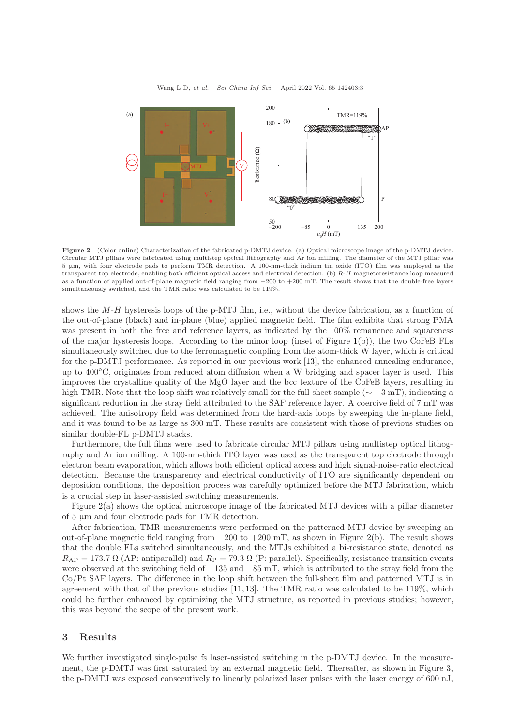Wang L D, et al. Sci China Inf Sci April 2022 Vol. 65 142403:3

<span id="page-2-0"></span>

Figure 2 (Color online) Characterization of the fabricated p-DMTJ device. (a) Optical microscope image of the p-DMTJ device. Circular MTJ pillars were fabricated using multistep optical lithography and Ar ion milling. The diameter of the MTJ pillar was 5 µm, with four electrode pads to perform TMR detection. A 100-nm-thick indium tin oxide (ITO) film was employed as the transparent top electrode, enabling both efficient optical access and electrical detection. (b) R-H magnetoresistance loop measured as a function of applied out-of-plane magnetic field ranging from −200 to +200 mT. The result shows that the double-free layers simultaneously switched, and the TMR ratio was calculated to be 119%.

shows the M-H hysteresis loops of the p-MTJ film, i.e., without the device fabrication, as a function of the out-of-plane (black) and in-plane (blue) applied magnetic field. The film exhibits that strong PMA was present in both the free and reference layers, as indicated by the  $100\%$  remanence and squareness of the major hysteresis loops. According to the minor loop (inset of Figure [1\(](#page-1-0)b)), the two CoFeB FLs simultaneously switched due to the ferromagnetic coupling from the atom-thick W layer, which is critical for the p-DMTJ performance. As reported in our previous work [\[13\]](#page-6-1), the enhanced annealing endurance, up to 400◦C, originates from reduced atom diffusion when a W bridging and spacer layer is used. This improves the crystalline quality of the MgO layer and the bcc texture of the CoFeB layers, resulting in high TMR. Note that the loop shift was relatively small for the full-sheet sample ( $\sim$  −3 mT), indicating a significant reduction in the stray field attributed to the SAF reference layer. A coercive field of 7 mT was achieved. The anisotropy field was determined from the hard-axis loops by sweeping the in-plane field, and it was found to be as large as 300 mT. These results are consistent with those of previous studies on similar double-FL p-DMTJ stacks.

Furthermore, the full films were used to fabricate circular MTJ pillars using multistep optical lithography and Ar ion milling. A 100-nm-thick ITO layer was used as the transparent top electrode through electron beam evaporation, which allows both efficient optical access and high signal-noise-ratio electrical detection. Because the transparency and electrical conductivity of ITO are significantly dependent on deposition conditions, the deposition process was carefully optimized before the MTJ fabrication, which is a crucial step in laser-assisted switching measurements.

Figure [2\(](#page-2-0)a) shows the optical microscope image of the fabricated MTJ devices with a pillar diameter of 5 µm and four electrode pads for TMR detection.

After fabrication, TMR measurements were performed on the patterned MTJ device by sweeping an out-of-plane magnetic field ranging from −200 to +200 mT, as shown in Figure [2\(](#page-2-0)b). The result shows that the double FLs switched simultaneously, and the MTJs exhibited a bi-resistance state, denoted as  $R_{AP} = 173.7 \Omega$  (AP: antiparallel) and  $R_P = 79.3 \Omega$  (P: parallel). Specifically, resistance transition events were observed at the switching field of +135 and −85 mT, which is attributed to the stray field from the Co/Pt SAF layers. The difference in the loop shift between the full-sheet film and patterned MTJ is in agreement with that of the previous studies [\[11,](#page-5-4) [13\]](#page-6-1). The TMR ratio was calculated to be 119%, which could be further enhanced by optimizing the MTJ structure, as reported in previous studies; however, this was beyond the scope of the present work.

#### 3 Results

We further investigated single-pulse fs laser-assisted switching in the p-DMTJ device. In the measurement, the p-DMTJ was first saturated by an external magnetic field. Thereafter, as shown in Figure [3,](#page-3-0) the p-DMTJ was exposed consecutively to linearly polarized laser pulses with the laser energy of 600 nJ,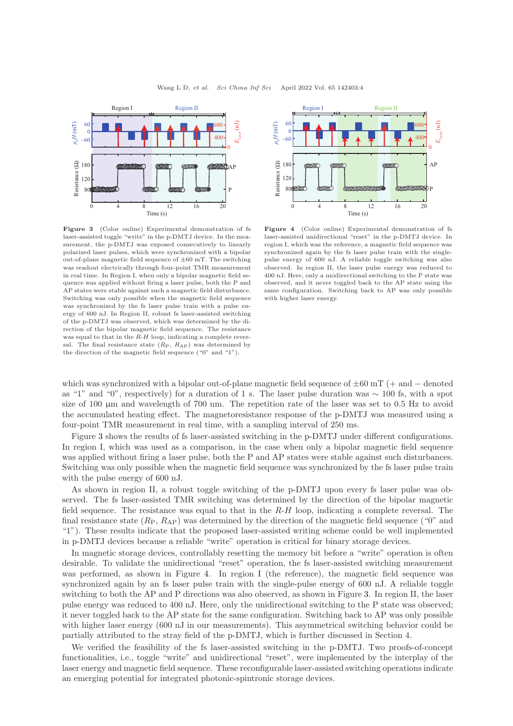<span id="page-3-0"></span>

Figure 3 (Color online) Experimental demonstration of fs laser-assisted toggle "write" in the p-DMTJ device. In the measurement, the p-DMTJ was exposed consecutively to linearly polarized laser pulses, which were synchronized with a bipolar out-of-plane magnetic field sequence of  $\pm 60$  mT. The switching was readout electrically through four-point TMR measurement in real time. In Region I, when only a bipolar magnetic field sequence was applied without firing a laser pulse, both the P and AP states were stable against such a magnetic field disturbance. Switching was only possible when the magnetic field sequence was synchronized by the fs laser pulse train with a pulse energy of 600 nJ. In Region II, robust fs laser-assisted switching of the p-DMTJ was observed, which was determined by the direction of the bipolar magnetic field sequence. The resistance was equal to that in the  $R-H$  loop, indicating a complete reversal. The final resistance state  $(R_P, R_{AP})$  was determined by the direction of the magnetic field sequence ("0" and "1").



Figure 4 (Color online) Experimental demonstration of fs laser-assisted unidirectional "reset" in the p-DMTJ device. In region I, which was the reference, a magnetic field sequence was synchronized again by the fs laser pulse train with the singlepulse energy of 600 nJ. A reliable toggle switching was also observed. In region II, the laser pulse energy was reduced to 400 nJ. Here, only a unidirectional switching to the P state was observed, and it never toggled back to the AP state using the same configuration. Switching back to AP was only possible with higher laser energy.

0 4 8 12 16 20

P

Time (s)

which was synchronized with a bipolar out-of-plane magnetic field sequence of ±60 mT (+ and − denoted as "1" and "0", respectively) for a duration of 1 s. The laser pulse duration was ∼ 100 fs, with a spot size of 100  $\mu$ m and wavelength of 700 nm. The repetition rate of the laser was set to 0.5 Hz to avoid the accumulated heating effect. The magnetoresistance response of the p-DMTJ was measured using a four-point TMR measurement in real time, with a sampling interval of 250 ms.

Figure [3](#page-3-0) shows the results of fs laser-assisted switching in the p-DMTJ under different configurations. In region I, which was used as a comparison, in the case when only a bipolar magnetic field sequence was applied without firing a laser pulse, both the P and AP states were stable against such disturbances. Switching was only possible when the magnetic field sequence was synchronized by the fs laser pulse train with the pulse energy of 600 nJ.

As shown in region II, a robust toggle switching of the p-DMTJ upon every fs laser pulse was observed. The fs laser-assisted TMR switching was determined by the direction of the bipolar magnetic field sequence. The resistance was equal to that in the  $R-H$  loop, indicating a complete reversal. The final resistance state  $(R_P, R_{AP})$  was determined by the direction of the magnetic field sequence ("0" and "1"). These results indicate that the proposed laser-assisted writing scheme could be well implemented in p-DMTJ devices because a reliable "write" operation is critical for binary storage devices.

In magnetic storage devices, controllably resetting the memory bit before a "write" operation is often desirable. To validate the unidirectional "reset" operation, the fs laser-assisted switching measurement was performed, as shown in Figure [4.](#page-3-0) In region I (the reference), the magnetic field sequence was synchronized again by an fs laser pulse train with the single-pulse energy of 600 nJ. A reliable toggle switching to both the AP and P directions was also observed, as shown in Figure [3.](#page-3-0) In region II, the laser pulse energy was reduced to 400 nJ. Here, only the unidirectional switching to the P state was observed; it never toggled back to the AP state for the same configuration. Switching back to AP was only possible with higher laser energy (600 nJ in our measurements). This asymmetrical switching behavior could be partially attributed to the stray field of the p-DMTJ, which is further discussed in Section 4.

We verified the feasibility of the fs laser-assisted switching in the p-DMTJ. Two proofs-of-concept functionalities, i.e., toggle "write" and unidirectional "reset", were implemented by the interplay of the laser energy and magnetic field sequence. These reconfigurable laser-assisted switching operations indicate an emerging potential for integrated photonic-spintronic storage devices.

80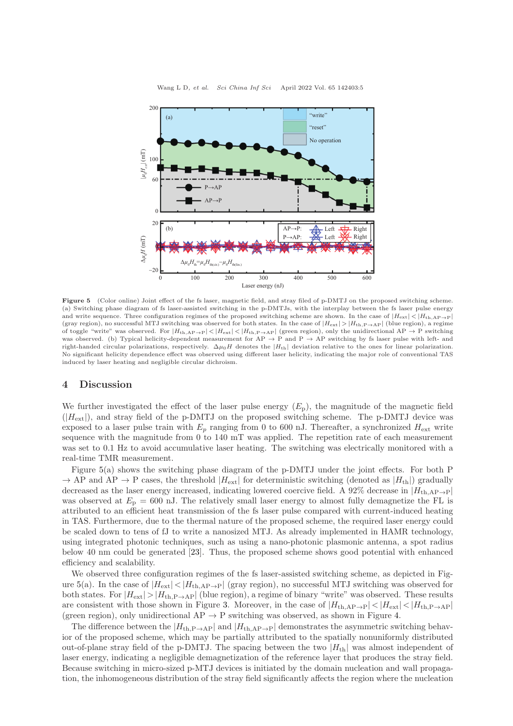<span id="page-4-0"></span>

Figure 5 (Color online) Joint effect of the fs laser, magnetic field, and stray filed of p-DMTJ on the proposed switching scheme. (a) Switching phase diagram of fs laser-assisted switching in the p-DMTJs, with the interplay between the fs laser pulse energy and write sequence. Three configuration regimes of the proposed switching scheme are shown. In the case of  $|H_{\text{ext}}| < |H_{\text{th,AP}\rightarrow\text{P}}|$ (gray region), no successful MTJ switching was observed for both states. In the case of  $|H_{\text{ext}}| > |H_{\text{th},P\rightarrow AP}|$  (blue region), a regime of toggle "write" was observed. For  $|H_{th,AP\rightarrow P}| < |H_{ext}| < |H_{th,P\rightarrow AP}|$  (green region), only the unidirectional AP  $\rightarrow$  P switching was observed. (b) Typical helicity-dependent measurement for AP  $\rightarrow$  P and P  $\rightarrow$  AP switching by fs laser pulse with left- and right-handed circular polarizations, respectively.  $\Delta \mu_0 H$  denotes the  $|H_{th}|$  deviation relative to the ones for linear polarization. No significant helicity dependence effect was observed using different laser helicity, indicating the major role of conventional TAS induced by laser heating and negligible circular dichroism.

#### 4 Discussion

We further investigated the effect of the laser pulse energy  $(E_p)$ , the magnitude of the magnetic field  $(|H_{\text{ext}}|)$ , and stray field of the p-DMTJ on the proposed switching scheme. The p-DMTJ device was exposed to a laser pulse train with  $E_p$  ranging from 0 to 600 nJ. Thereafter, a synchronized  $H_{\text{ext}}$  write sequence with the magnitude from 0 to 140 mT was applied. The repetition rate of each measurement was set to 0.1 Hz to avoid accumulative laser heating. The switching was electrically monitored with a real-time TMR measurement.

Figure [5\(](#page-4-0)a) shows the switching phase diagram of the p-DMTJ under the joint effects. For both P  $\rightarrow$  AP and AP  $\rightarrow$  P cases, the threshold  $|H_{ext}|$  for deterministic switching (denoted as  $|H_{th}|$ ) gradually decreased as the laser energy increased, indicating lowered coercive field. A 92% decrease in  $|H_{\text{th,AP}\rightarrow\text{P}}|$ was observed at  $E_p = 600$  nJ. The relatively small laser energy to almost fully demagnetize the FL is attributed to an efficient heat transmission of the fs laser pulse compared with current-induced heating in TAS. Furthermore, due to the thermal nature of the proposed scheme, the required laser energy could be scaled down to tens of fJ to write a nanosized MTJ. As already implemented in HAMR technology, using integrated photonic techniques, such as using a nano-photonic plasmonic antenna, a spot radius below 40 nm could be generated [\[23\]](#page-6-10). Thus, the proposed scheme shows good potential with enhanced efficiency and scalability.

We observed three configuration regimes of the fs laser-assisted switching scheme, as depicted in Fig-ure [5\(](#page-4-0)a). In the case of  $|H_{ext}| < |H_{th,AP\to P}|$  (gray region), no successful MTJ switching was observed for both states. For  $|H_{\text{ext}}| > |H_{\text{th},P \to \text{AP}}|$  (blue region), a regime of binary "write" was observed. These results are consistent with those shown in Figure [3.](#page-3-0) Moreover, in the case of  $|H_{th,AP\to P}| < |H_{ext}| < |H_{th,P\to AP}|$ (green region), only unidirectional  $AP \rightarrow P$  switching was observed, as shown in Figure [4.](#page-3-0)

The difference between the  $|H_{th,P\to AP}|$  and  $|H_{th,AP\to P}|$  demonstrates the asymmetric switching behavior of the proposed scheme, which may be partially attributed to the spatially nonuniformly distributed out-of-plane stray field of the p-DMTJ. The spacing between the two  $|H_{th}|$  was almost independent of laser energy, indicating a negligible demagnetization of the reference layer that produces the stray field. Because switching in micro-sized p-MTJ devices is initiated by the domain nucleation and wall propagation, the inhomogeneous distribution of the stray field significantly affects the region where the nucleation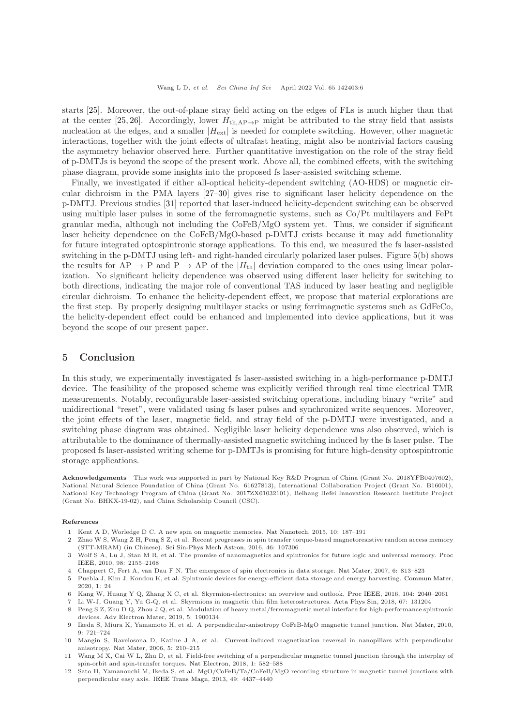starts [\[25\]](#page-6-12). Moreover, the out-of-plane stray field acting on the edges of FLs is much higher than that at the center [\[25,](#page-6-12) [26\]](#page-6-13). Accordingly, lower  $H_{th,AP\rightarrow P}$  might be attributed to the stray field that assists nucleation at the edges, and a smaller  $|H_{ext}|$  is needed for complete switching. However, other magnetic interactions, together with the joint effects of ultrafast heating, might also be nontrivial factors causing the asymmetry behavior observed here. Further quantitative investigation on the role of the stray field of p-DMTJs is beyond the scope of the present work. Above all, the combined effects, with the switching phase diagram, provide some insights into the proposed fs laser-assisted switching scheme.

Finally, we investigated if either all-optical helicity-dependent switching (AO-HDS) or magnetic circular dichroism in the PMA layers [\[27](#page-6-14)[–30\]](#page-6-15) gives rise to significant laser helicity dependence on the p-DMTJ. Previous studies [\[31\]](#page-6-16) reported that laser-induced helicity-dependent switching can be observed using multiple laser pulses in some of the ferromagnetic systems, such as Co/Pt multilayers and FePt granular media, although not including the CoFeB/MgO system yet. Thus, we consider if significant laser helicity dependence on the CoFeB/MgO-based p-DMTJ exists because it may add functionality for future integrated optospintronic storage applications. To this end, we measured the fs laser-assisted switching in the p-DMTJ using left- and right-handed circularly polarized laser pulses. Figure [5\(](#page-4-0)b) shows the results for AP  $\rightarrow$  P and P  $\rightarrow$  AP of the  $|H_{\text{th}}|$  deviation compared to the ones using linear polarization. No significant helicity dependence was observed using different laser helicity for switching to both directions, indicating the major role of conventional TAS induced by laser heating and negligible circular dichroism. To enhance the helicity-dependent effect, we propose that material explorations are the first step. By properly designing multilayer stacks or using ferrimagnetic systems such as GdFeCo, the helicity-dependent effect could be enhanced and implemented into device applications, but it was beyond the scope of our present paper.

#### 5 Conclusion

In this study, we experimentally investigated fs laser-assisted switching in a high-performance p-DMTJ device. The feasibility of the proposed scheme was explicitly verified through real time electrical TMR measurements. Notably, reconfigurable laser-assisted switching operations, including binary "write" and unidirectional "reset", were validated using fs laser pulses and synchronized write sequences. Moreover, the joint effects of the laser, magnetic field, and stray field of the p-DMTJ were investigated, and a switching phase diagram was obtained. Negligible laser helicity dependence was also observed, which is attributable to the dominance of thermally-assisted magnetic switching induced by the fs laser pulse. The proposed fs laser-assisted writing scheme for p-DMTJs is promising for future high-density optospintronic storage applications.

Acknowledgements This work was supported in part by National Key R&D Program of China (Grant No. 2018YFB0407602), National Natural Science Foundation of China (Grant No. 61627813), International Collaboration Project (Grant No. B16001), National Key Technology Program of China (Grant No. 2017ZX01032101), Beihang Hefei Innovation Research Institute Project (Grant No. BHKX-19-02), and China Scholarship Council (CSC).

#### <span id="page-5-0"></span>References

- 1 Kent A D, Worledge D C. A new spin on magnetic memories. [Nat Nanotech,](https://doi.org/10.1038/nnano.2015.24) 2015, 10: 187–191
- 2 Zhao W S, Wang Z H, Peng S Z, et al. Recent progresses in spin transfer torque-based magnetoresistive random access memory (STT-MRAM) (in Chinese). [Sci Sin-Phys Mech Astron,](https://doi.org/10.1360/SSPMA2016-00185) 2016, 46: 107306
- 3 Wolf [S A, Lu J, Stan M R, et al. The promise of nanomagnetics and spintronics for future logic and universal memory.](https://doi.org/10.1109/JPROC.2010.2064150) Proc IEEE, 2010, 98: 2155–2168
- 4 Chappert C, Fert A, van Dau F N. The emergence of spin electronics in data storage. [Nat Mater,](https://doi.org/10.1038/nmat2024) 2007, 6: 813–823
- 5 Puebla J, Kim J, Kondou K, et al. Spintronic devices for energy-efficient data storage and energy harvesting. [Commun Mater,](https://doi.org/10.1038/s43246-020-0022-5) 2020, 1: 24
- <span id="page-5-1"></span>6 Kang W, Huang Y Q, Zhang X C, et al. Skyrmion-electronics: an overview and outlook. [Proc IEEE,](https://doi.org/10.1109/JPROC.2016.2591578) 2016, 104: 2040–2061
- <span id="page-5-2"></span>7 Li W-J, Guang Y, Yu G-Q, et al. Skyrmions in magnetic thin film heterostructures. [Acta Phys Sin,](https://doi.org/10.7498/aps.67.20180549) 2018, 67: 131204 8 Peng S Z, Zhu D Q, Zhou J Q, et al. Modulation of heavy metal/ferromagnetic metal interface for high-performance spintronic
- devices. [Adv Electron Mater,](https://doi.org/10.1002/aelm.201900134) 2019, 5: 1900134
- <span id="page-5-3"></span>9 Ikeda S, Miura K, Yamamoto H, et al. A perpendicular-anisotropy CoFeB-MgO magnetic tunnel junction. [Nat Mater,](https://doi.org/10.1038/nmat2804) 2010, 9: 721–724
- 10 Mangin S, Ravelosona D, Katine J A, et al. Current-induced magnetization reversal in nanopillars with perpendicular anisotropy. [Nat Mater,](https://doi.org/10.1038/nmat1595) 2006, 5: 210–215
- <span id="page-5-4"></span>11 Wang M X, Cai W L, Zhu D, et al. Field-free switching of a perpendicular magnetic tunnel junction through the interplay of spin-orbit and spin-transfer torques. [Nat Electron,](https://doi.org/10.1038/s41928-018-0160-7) 2018, 1: 582–588
- <span id="page-5-5"></span>12 Sato H, Yamanouchi M, Ikeda S, et al. MgO/CoFeB/Ta/CoFeB/MgO recording structure in magnetic tunnel junctions with perpendicular easy axis. [IEEE Trans Magn,](https://doi.org/10.1109/TMAG.2013.2251326) 2013, 49: 4437–4440